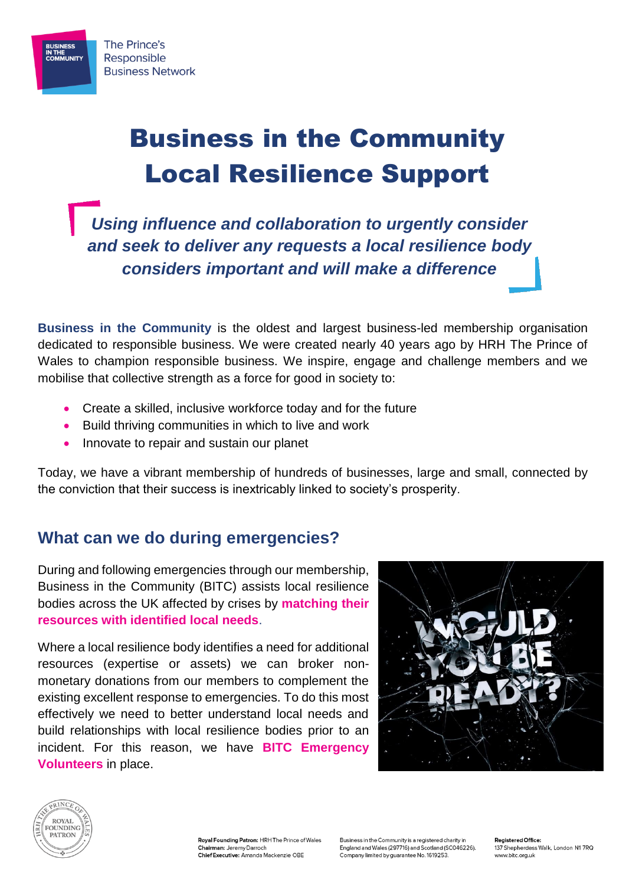

## Business in the Community Local Resilience Support

*Using influence and collaboration to urgently consider and seek to deliver any requests a local resilience body considers important and will make a difference*

**Business in the Community** is the oldest and largest business-led membership organisation dedicated to responsible business. We were created nearly 40 years ago by HRH The Prince of Wales to champion responsible business. We inspire, engage and challenge members and we mobilise that collective strength as a force for good in society to:

- Create a skilled, inclusive workforce today and for the future
- Build thriving communities in which to live and work
- Innovate to repair and sustain our planet

Today, we have a vibrant membership of hundreds of businesses, large and small, connected by the conviction that their success is inextricably linked to society's prosperity.

## **What can we do during emergencies?**

During and following emergencies through our membership, Business in the Community (BITC) assists local resilience bodies across the UK affected by crises by **matching their resources with identified local needs**.

Where a local resilience body identifies a need for additional resources (expertise or assets) we can broker nonmonetary donations from our members to complement the existing excellent response to emergencies. To do this most effectively we need to better understand local needs and build relationships with local resilience bodies prior to an incident. For this reason, we have **BITC Emergency Volunteers** in place.





Roval Founding Patron: HRH The Prince of Wales Chairman: Jeremy Darroch Chief Executive: Amanda Mackenzie OBE

Business in the Community is a registered charity in England and Wales (297716) and Scotland (SC046226). Company limited by guarantee No. 1619253.

**Pegistered Office:** 137 Shepherdess Walk, London N1 7RQ www.bitc.org.uk